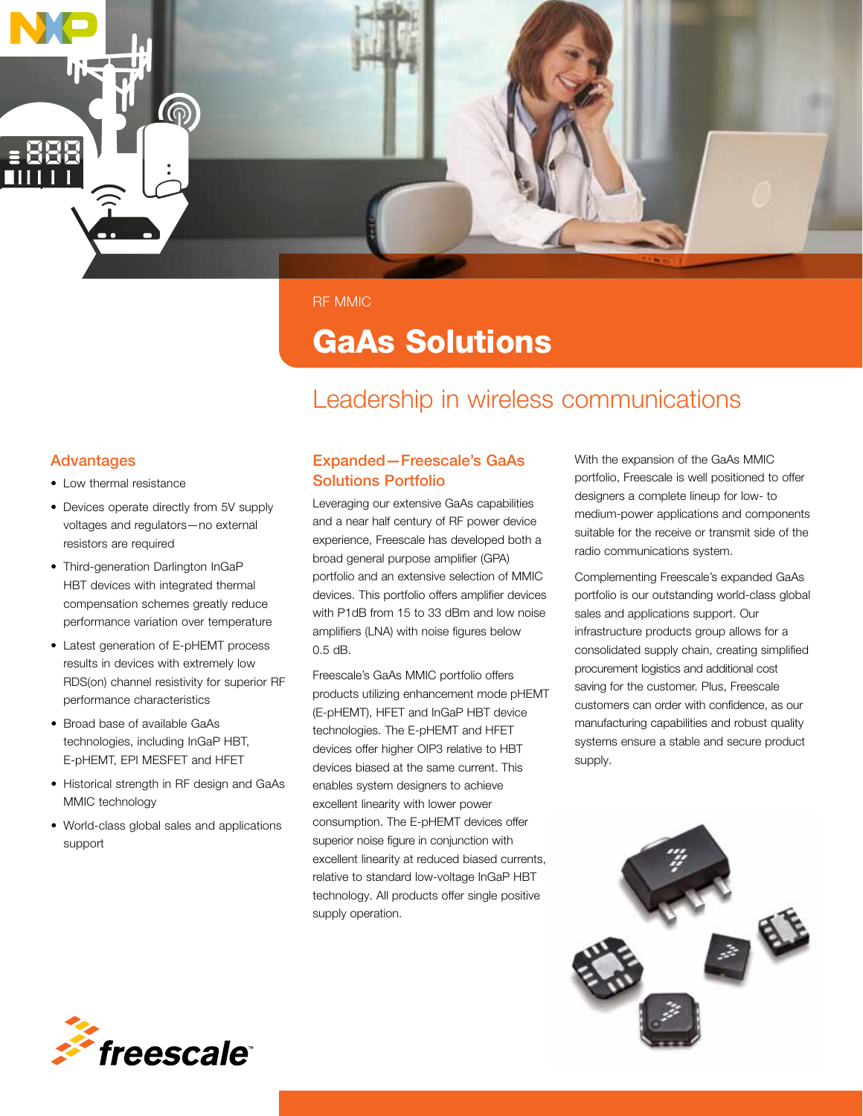

RF MMIC

## GaAs Solutions

## Leadership in wireless communications

#### Advantages

- Low thermal resistance
- Devices operate directly from 5V supply voltages and regulators—no external resistors are required
- Third-generation Darlington InGaP HBT devices with integrated thermal compensation schemes greatly reduce performance variation over temperature
- Latest generation of E-pHEMT process results in devices with extremely low RDS(on) channel resistivity for superior RF performance characteristics
- Broad base of available GaAs technologies, including InGaP HBT, E-pHEMT, EPI MESFET and HFET
- Historical strength in RF design and GaAs MMIC technology
- World-class global sales and applications support

#### Expanded—Freescale's GaAs Solutions Portfolio

Leveraging our extensive GaAs capabilities and a near half century of RF power device experience, Freescale has developed both a broad general purpose amplifier (GPA) portfolio and an extensive selection of MMIC devices. This portfolio offers amplifier devices with P1dB from 15 to 33 dBm and low noise amplifiers (LNA) with noise figures below 0.5 dB.

Freescale's GaAs MMIC portfolio offers products utilizing enhancement mode pHEMT (E-pHEMT), HFET and InGaP HBT device technologies. The E-pHEMT and HFET devices offer higher OIP3 relative to HBT devices biased at the same current. This enables system designers to achieve excellent linearity with lower power consumption. The E-pHEMT devices offer superior noise figure in conjunction with excellent linearity at reduced biased currents, relative to standard low-voltage InGaP HBT technology. All products offer single positive supply operation.

With the expansion of the GaAs MMIC portfolio, Freescale is well positioned to offer designers a complete lineup for low- to medium-power applications and components suitable for the receive or transmit side of the radio communications system.

Complementing Freescale's expanded GaAs portfolio is our outstanding world-class global sales and applications support. Our infrastructure products group allows for a consolidated supply chain, creating simplified procurement logistics and additional cost saving for the customer. Plus, Freescale customers can order with confidence, as our manufacturing capabilities and robust quality systems ensure a stable and secure product supply.



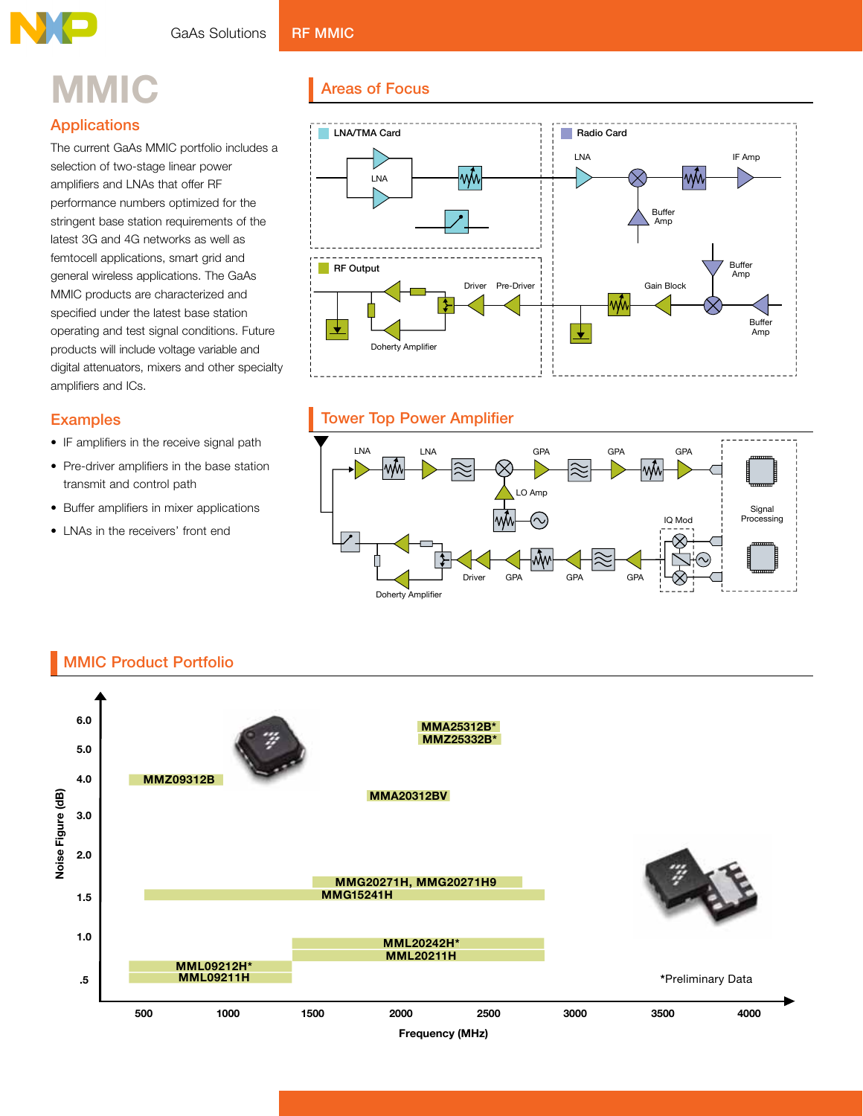# **MMIC**

### **Applications**

The current GaAs MMIC portfolio includes a selection of two-stage linear power amplifiers and LNAs that offer RF performance numbers optimized for the stringent base station requirements of the latest 3G and 4G networks as well as femtocell applications, smart grid and general wireless applications. The GaAs MMIC products are characterized and specified under the latest base station operating and test signal conditions. Future products will include voltage variable and digital attenuators, mixers and other specialty amplifiers and ICs.

#### **Examples**

- IF amplifiers in the receive signal path
- Pre-driver amplifiers in the base station transmit and control path
- Buffer amplifiers in mixer applications
- LNAs in the receivers' front end

#### **Areas of Focus**



#### **Tower Top Power Amplifier**



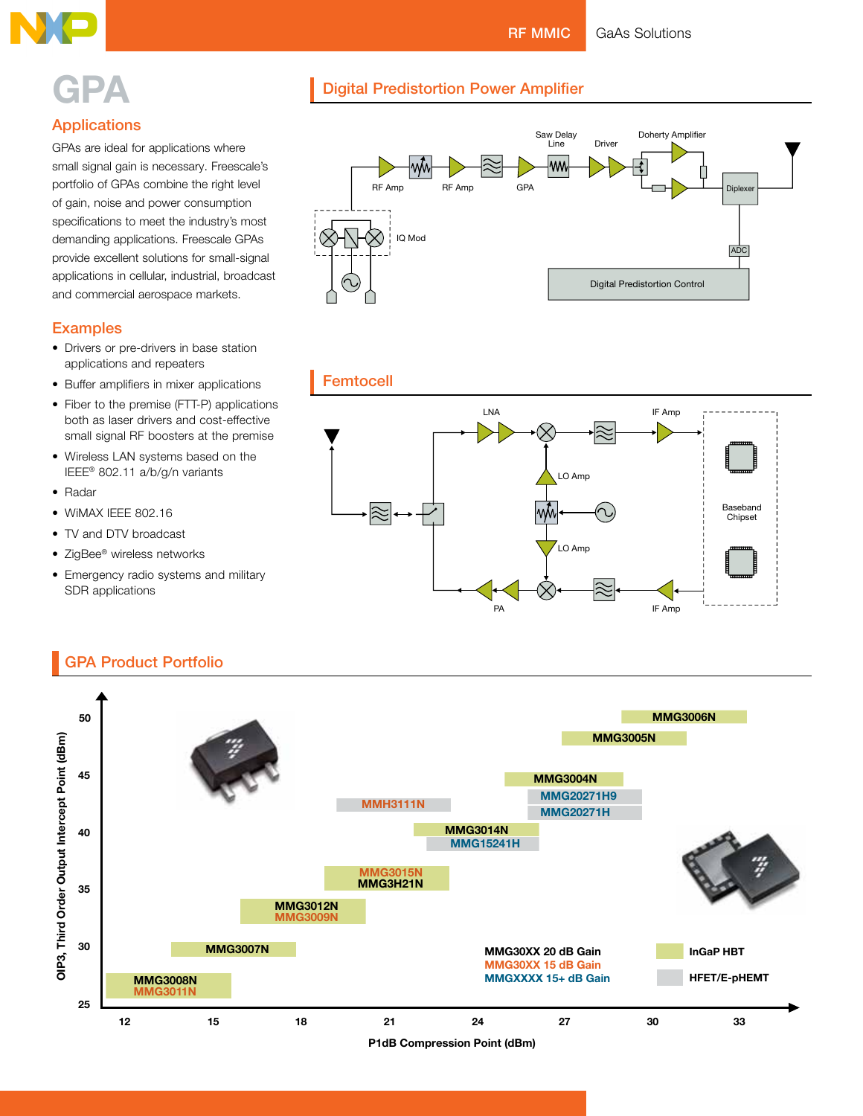**RF MMIC** 

**Digital Predistortion Power Amplifier** 

**GaAs Solutions** 



## **GPA**

#### **Applications**

GPAs are ideal for applications where small signal gain is necessary. Freescale's portfolio of GPAs combine the right level of gain, noise and power consumption specifications to meet the industry's most demanding applications. Freescale GPAs provide excellent solutions for small-signal applications in cellular, industrial, broadcast and commercial aerospace markets.

#### **Examples**

- Drivers or pre-drivers in base station applications and repeaters
- Buffer amplifiers in mixer applications
- Fiber to the premise (FTT-P) applications both as laser drivers and cost-effective small signal RF boosters at the premise
- Wireless LAN systems based on the IEEE® 802.11 a/b/g/n variants
- $\bullet$  Radar
- WIMAX IEEE 802.16
- TV and DTV broadcast
- ZigBee® wireless networks
- Emergency radio systems and military SDR applications







#### **GPA Product Portfolio**